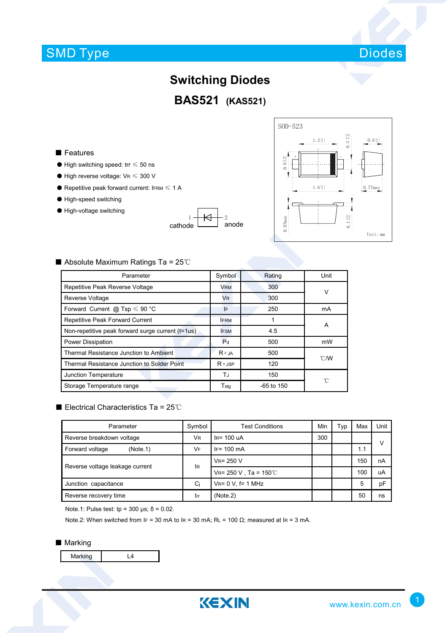## SMD Type



### **Switching Diodes**

**BAS521 (KAS521)**

#### ■ Features

- $\bullet$  High switching speed: trr  $\leq 50$  ns
- $\bullet$  High reverse voltage: VR  $\leqslant$  300 V
- $\bullet$  Repetitive peak forward current: IFRM  $\leq 1$  A
- High-speed switching
- High-voltage switching

1 <del>| KJ |</del> 2 cathode  $\begin{bmatrix} 1 & 1 \\ 1 & 1 \end{bmatrix}$  anode



#### ■ Absolute Maximum Ratings Ta = 25℃

| Parameter                                         | Symbol         | Rating       | Unit           |  |
|---------------------------------------------------|----------------|--------------|----------------|--|
| Repetitive Peak Reverse Voltage                   | <b>VRM</b>     | 300          | v              |  |
| <b>Reverse Voltage</b>                            | <b>VR</b>      | 300          |                |  |
| Forward Current @ Tsp $\leq 90$ °C                | I۴             | 250          | mA             |  |
| Repetitive Peak Forward Current                   | <b>FRM</b>     |              | A              |  |
| Non-repetitive peak forward surge current (t=1us) | <b>FSM</b>     | 4.5          |                |  |
| Power Dissipation                                 | P <sub>d</sub> | 500          | mW             |  |
| Thermal Resistance Junction to Ambient            | $R \theta$ JA  | 500          | $^{\circ}$ C/W |  |
| Thermal Resistance Junction to Solder Point       | $R \theta$ JSP | 120          |                |  |
| Junction Temperature                              | ТJ             | 150          | 'n             |  |
| Storage Temperature range                         | Tstg           | $-65$ to 150 |                |  |

#### ■ Electrical Characteristics Ta = 25℃

| Parameter                       | Symbol                    | <b>Test Conditions</b>       | Min | Typ | Max | Unit      |
|---------------------------------|---------------------------|------------------------------|-----|-----|-----|-----------|
| Reverse breakdown voltage       | <b>VR</b><br>$IR = 100uA$ |                              | 300 |     |     | $\sqrt{}$ |
| Forward voltage<br>(Note.1)     | <b>VF</b>                 | $IF = 100 \text{ mA}$        |     |     | 1.1 |           |
| Reverse voltage leakage current | lR                        | $V_R = 250 V$                |     |     | 150 | nA        |
|                                 |                           | $V_{R} = 250 V$ , Ta = 150°C |     |     | 100 | uA        |
| Junction capacitance            | Ci                        | $V_{R} = 0 V$ , f= 1 MHz     |     |     | 5   | pF        |
| Reverse recovery time           | trr                       | (Note.2)                     |     |     | 50  | ns        |

Note.1: Pulse test:  $tp = 300 \text{ }\mu\text{s}$ ;  $\delta = 0.02$ .

Note.2: When switched from IF = 30 mA to IR = 30 mA; RL = 100 Ω; measured at IR = 3 mA.

#### ■ Marking

Marking | L4

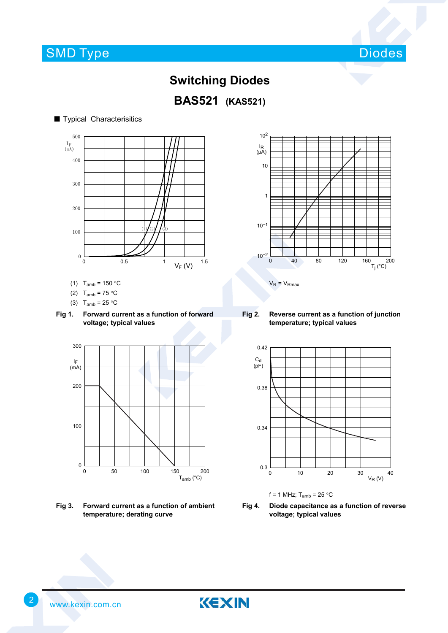■ Typical Characterisitics



### **Switching Diodes**



# 0 0.5 1  $V_F (V)$  1.5  $I_F$ <br> $(mA)$ 500 0 400 300 200  $100 \leftarrow 10\frac{1}{2}$

- (1)  $T_{amb} = 150 °C$
- (2)  $T_{amb} = 75 °C$
- (3)  $T_{amb} = 25 °C$
- **Fig 1. Forward current as a function of forward voltage; typical values**



**Fig 3. Forward current as a function of ambient temperature; derating curve**



**Fig 2. Reverse current as a function of junction temperature; typical values**





**Fig 4. Diode capacitance as a function of reverse voltage; typical values**



KEXIN